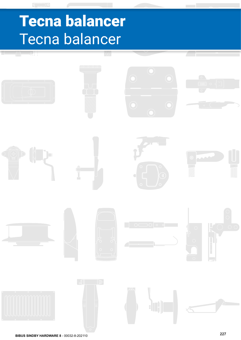# Tecna balancer Tecna balancer

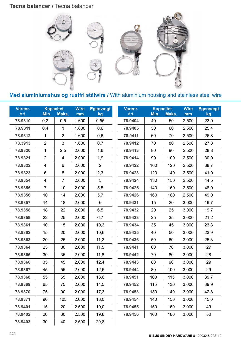# **Tecna balancer / Tecna balancer**



**Artical Edge 1 Dec**ret **II** and **EVE 1 Dec**ret **EGG 2 Dec Dire** I with aluminium nousing and **Med aluminiumshus og rustfri stålwire / With aluminium housing and stainless steel wire** 

| Varenr.<br>Art. | Min.                    | <b>Kapacitet</b><br>Maks. | <b>Wire</b><br>mm | <b>Egenvægt</b><br>kg | Varenr.<br>Art. | Min. | <b>Kapacitet</b><br>Maks. | <b>Wire</b><br>mm | <b>Egenvægt</b><br>kg |
|-----------------|-------------------------|---------------------------|-------------------|-----------------------|-----------------|------|---------------------------|-------------------|-----------------------|
| 78.9310         | 0,2                     | 0,5                       | 1.600             | 0,55                  | 78.9404         | 40   | 50                        | 2.500             | 23,9                  |
| 78.9311         | 0,4                     | 1                         | 1.600             | 0,6                   | 78.9405         | 50   | 60                        | 2.500             | 25,4                  |
| 78.9312         | 1                       | $\overline{2}$            | 1.600             | 0,6                   | 78.9411         | 60   | 70                        | 2.500             | 26,8                  |
| 78.3913         | $\overline{2}$          | 3                         | 1.600             | 0,7                   | 78.9412         | 70   | 80                        | 2.500             | 27,8                  |
| 78.9320         | 1                       | 2,5                       | 2.000             | 1,6                   | 78.9413         | 80   | 90                        | 2.500             | 28,8                  |
| 78.9321         | $\overline{2}$          | 4                         | 2.000             | 1,9                   | 78.9414         | 90   | 100                       | 2.500             | 30,0                  |
| 78.9322         | $\overline{\mathbf{4}}$ | $\,6$                     | 2.000             | $\overline{2}$        | 78.9422         | 100  | 120                       | 2.500             | 38,7                  |
| 78.9323         | $\,6\,$                 | 8                         | 2.000             | 2,3                   | 78.9423         | 120  | 140                       | 2.500             | 41,9                  |
| 78.9354         | $\overline{\mathbf{4}}$ | $\overline{7}$            | 2.000             | $\overline{5}$        | 78.9424         | 130  | 150                       | 2.500             | 44,5                  |
| 78.9355         | $\overline{7}$          | 10                        | 2.000             | 5,5                   | 78.9425         | 140  | 160                       | 2.500             | 48,0                  |
| 78.9356         | 10                      | 14                        | 2.000             | 5,7                   | 78.9426         | 160  | 180                       | 2.500             | 49,0                  |
| 78.9357         | 14                      | 18                        | 2.000             | 6                     | 78.9431         | 15   | 20                        | 3.000             | 19,7                  |
| 78.9358         | 18                      | 22                        | 2.000             | 6,5                   | 78.9432         | 20   | 25                        | 3.000             | 19,7                  |
| 78.9359         | 22                      | 25                        | 2.000             | 6,7                   | 78.9433         | 25   | 35                        | 3.000             | 21,2                  |
| 78.9361         | 10                      | 15                        | 2.000             | 10,3                  | 78.9434         | 35   | 45                        | 3.000             | 23,8                  |
| 78.9362         | 15                      | 20                        | 2.000             | 10,6                  | 78.9435         | 40   | 50                        | 3.000             | 23,9                  |
| 78.9363         | 20                      | 25                        | 2.000             | 11,2                  | 78.9436         | 50   | 60                        | 3.000             | 25,3                  |
| 78.9364         | 25                      | 30                        | 2.000             | 11,5                  | 78.9441         | 60   | 70                        | 3.000             | 27                    |
| 78.9365         | 30                      | 35                        | 2.000             | 11,8                  | 78.9442         | 70   | 80                        | 3.000             | 28                    |
| 78.9366         | 35                      | 45                        | 2.000             | 12,4                  | 78.9443         | 80   | 90                        | 3.000             | 29                    |
| 78.9367         | 45                      | 55                        | 2.000             | 12,5                  | 78.9444         | 80   | 100                       | 3.000             | 29                    |
| 78.9368         | 55                      | 65                        | 2.000             | 13,6                  | 78.9451         | 100  | 115                       | 3.000             | 39,7                  |
| 78.9369         | 65                      | 75                        | 2.000             | 14,5                  | 78.9452         | 115  | 130                       | 3.000             | 39,9                  |
| 78.9370         | 75                      | 90                        | 2.000             | 17,3                  | 78.9453         | 130  | 140                       | 3.000             | 42,8                  |
| 78.9371         | 90                      | 105                       | 2.000             | 18,0                  | 78.9454         | 140  | 150                       | 3.000             | 45,6                  |
| 78.9401         | 15                      | 20                        | 2.500             | 19,0                  | 78.9455         | 150  | 160                       | 3.000             | 49                    |
| 78.9402         | 20                      | 30                        | 2.500             | 19,8                  | 78.9456         | 160  | 180                       | 3.000             | 50                    |
| 78.9403         | 30                      | 40                        | 2.500             | 20,8                  |                 |      |                           |                   |                       |